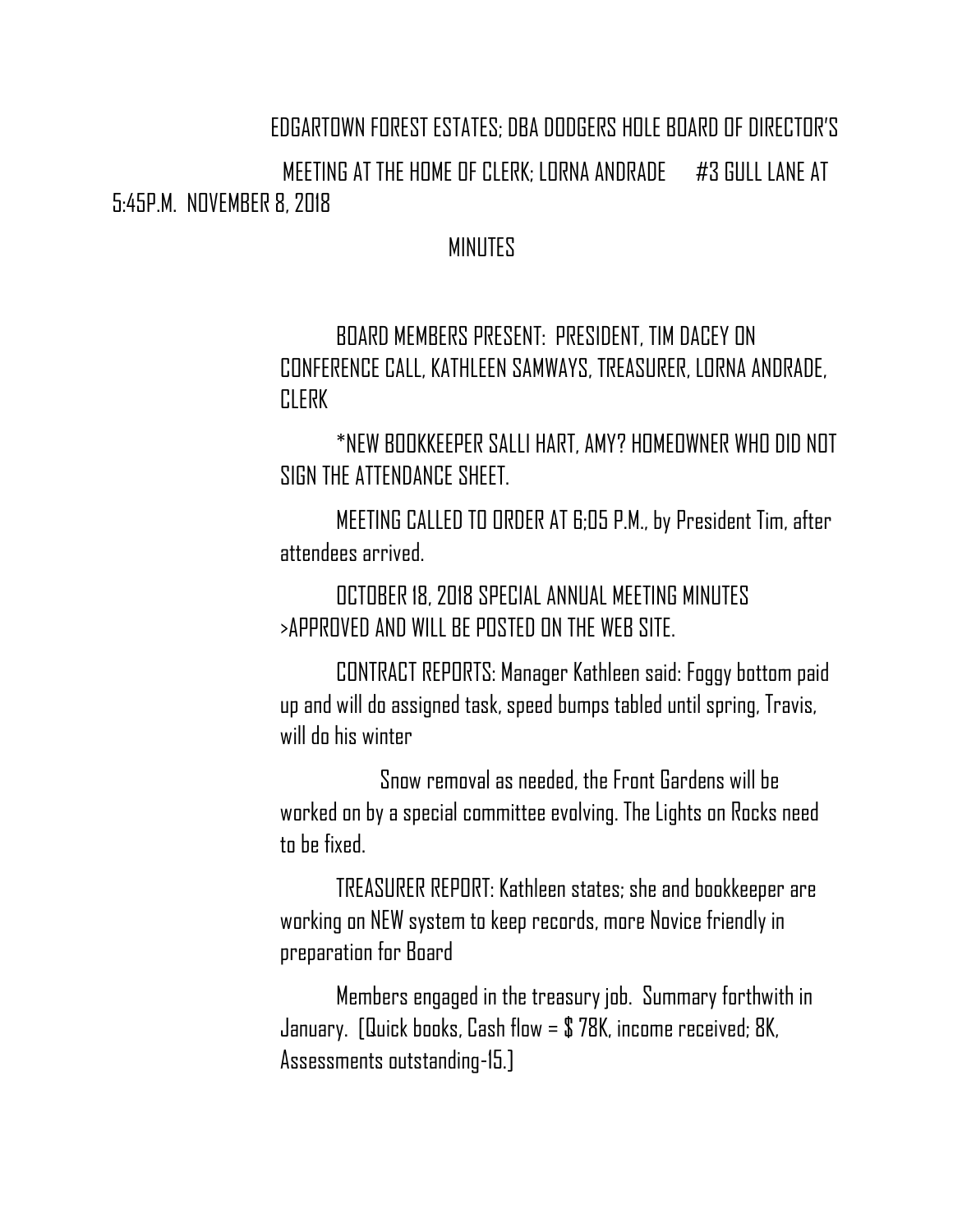## EDGARTOWN FOREST ESTATES; DBA DODGERS HOLE BOARD OF DIRECTOR'S

 MEETING AT THE HOME OF CLERK; LORNA ANDRADE #3 GULL LANE AT 5:45P.M. NOVEMBER 8, 2018

## MINUTES

BOARD MEMBERS PRESENT: PRESIDENT, TIM DACEY ON CONFERENCE CALL, KATHLEEN SAMWAYS, TREASURER, LORNA ANDRADE, **CLERK** 

\*NEW BOOKKEEPER SALLI HART, AMY? HOMEOWNER WHO DID NOT SIGN THE ATTENDANCE SHEET.

MEETING CALLED TO ORDER AT 6;05 P.M., by President Tim, after attendees arrived.

## OCTOBER 18, 2018 SPECIAL ANNUAL MEETING MINUTES >APPROVED AND WILL BE POSTED ON THE WEB SITE.

CONTRACT REPORTS: Manager Kathleen said: Foggy bottom paid up and will do assigned task, speed bumps tabled until spring, Travis, will dn his winter

 Snow removal as needed, the Front Gardens will be worked on by a special committee evolving. The Lights on Rocks need to be fixed.

TREASURER REPORT: Kathleen states; she and bookkeeper are working on NEW system to keep records, more Novice friendly in preparation for Board

Members engaged in the treasury job. Summary forthwith in January. [Quick books, Cash flow = \$ 78K, income received; 8K, Assessments outstanding-15.]